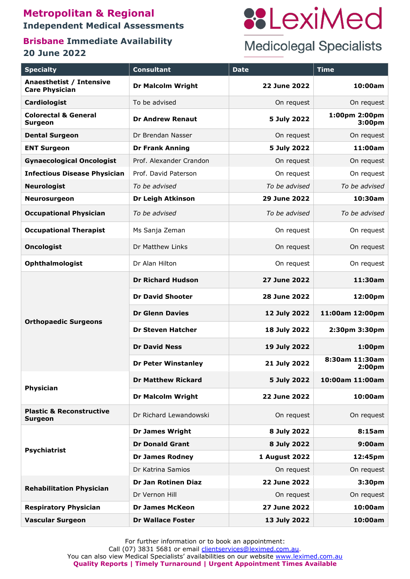## **Metropolitan & Regional Independent Medical Assessments**

## **Brisbane Immediate Availability 20 June 2022**

# **::LexiMed**

## **Medicolegal Specialists**

| <b>Specialty</b>                                      | <b>Consultant</b>          | <b>Date</b>         | <b>Time</b>                          |
|-------------------------------------------------------|----------------------------|---------------------|--------------------------------------|
| Anaesthetist / Intensive<br><b>Care Physician</b>     | <b>Dr Malcolm Wright</b>   | 22 June 2022        | 10:00am                              |
| <b>Cardiologist</b>                                   | To be advised              | On request          | On request                           |
| <b>Colorectal &amp; General</b><br><b>Surgeon</b>     | <b>Dr Andrew Renaut</b>    | 5 July 2022         | 1:00pm 2:00pm<br>3:00 <sub>pm</sub>  |
| <b>Dental Surgeon</b>                                 | Dr Brendan Nasser          | On request          | On request                           |
| <b>ENT Surgeon</b>                                    | <b>Dr Frank Anning</b>     | 5 July 2022         | 11:00am                              |
| <b>Gynaecological Oncologist</b>                      | Prof. Alexander Crandon    | On request          | On request                           |
| <b>Infectious Disease Physician</b>                   | Prof. David Paterson       | On request          | On request                           |
| <b>Neurologist</b>                                    | To be advised              | To be advised       | To be advised                        |
| <b>Neurosurgeon</b>                                   | <b>Dr Leigh Atkinson</b>   | 29 June 2022        | 10:30am                              |
| <b>Occupational Physician</b>                         | To be advised              | To be advised       | To be advised                        |
| <b>Occupational Therapist</b>                         | Ms Sanja Zeman             | On request          | On request                           |
| <b>Oncologist</b>                                     | Dr Matthew Links           | On request          | On request                           |
| <b>Ophthalmologist</b>                                | Dr Alan Hilton             | On request          | On request                           |
| <b>Orthopaedic Surgeons</b>                           | <b>Dr Richard Hudson</b>   | <b>27 June 2022</b> | 11:30am                              |
|                                                       | <b>Dr David Shooter</b>    | <b>28 June 2022</b> | 12:00pm                              |
|                                                       | <b>Dr Glenn Davies</b>     | 12 July 2022        | 11:00am 12:00pm                      |
|                                                       | <b>Dr Steven Hatcher</b>   | 18 July 2022        | 2:30pm 3:30pm                        |
|                                                       | <b>Dr David Ness</b>       | 19 July 2022        | 1:00 <sub>pm</sub>                   |
|                                                       | <b>Dr Peter Winstanley</b> | 21 July 2022        | 8:30am 11:30am<br>2:00 <sub>pm</sub> |
| Physician                                             | <b>Dr Matthew Rickard</b>  | 5 July 2022         | 10:00am 11:00am                      |
|                                                       | <b>Dr Malcolm Wright</b>   | <b>22 June 2022</b> | 10:00am                              |
| <b>Plastic &amp; Reconstructive</b><br><b>Surgeon</b> | Dr Richard Lewandowski     | On request          | On request                           |
| <b>Psychiatrist</b>                                   | <b>Dr James Wright</b>     | 8 July 2022         | 8:15am                               |
|                                                       | <b>Dr Donald Grant</b>     | 8 July 2022         | 9:00am                               |
|                                                       | <b>Dr James Rodney</b>     | 1 August 2022       | 12:45pm                              |
|                                                       | Dr Katrina Samios          | On request          | On request                           |
| <b>Rehabilitation Physician</b>                       | Dr Jan Rotinen Diaz        | 22 June 2022        | 3:30pm                               |
|                                                       | Dr Vernon Hill             | On request          | On request                           |
| <b>Respiratory Physician</b>                          | <b>Dr James McKeon</b>     | 27 June 2022        | 10:00am                              |
| <b>Vascular Surgeon</b>                               | <b>Dr Wallace Foster</b>   | 13 July 2022        | 10:00am                              |

For further information or to book an appointment:

Call (07) 3831 5681 or email [clientservices@leximed.com.au.](mailto:jenny@leximed.com.au)

You can also view Medical Specialists' availabilities on our website [www.leximed.com.au](http://www.leximed.com.au/) **Quality Reports | Timely Turnaround | Urgent Appointment Times Available**